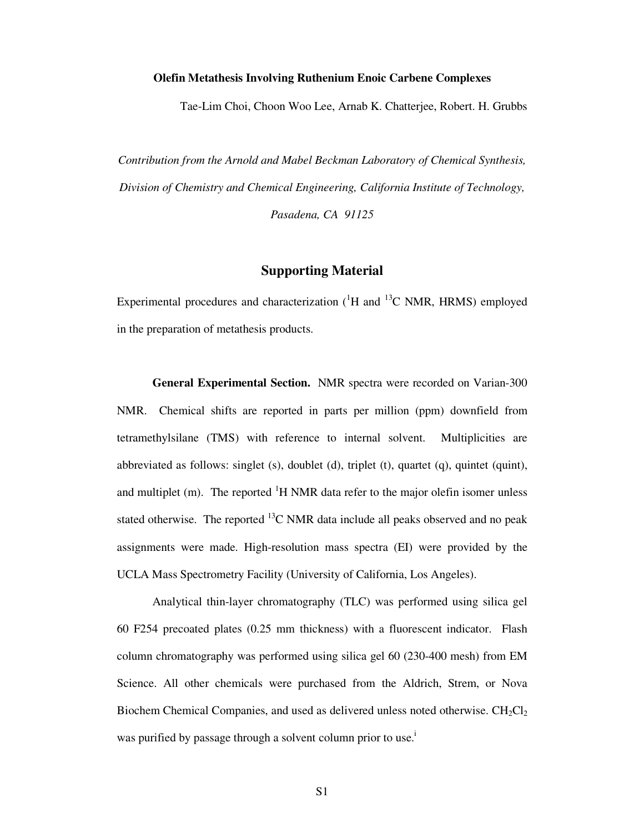## **Olefin Metathesis Involving Ruthenium Enoic Carbene Complexes**

Tae-Lim Choi, Choon Woo Lee, Arnab K. Chatterjee, Robert. H. Grubbs

*Contribution from the Arnold and Mabel Beckman Laboratory of Chemical Synthesis, Division of Chemistry and Chemical Engineering, California Institute of Technology, Pasadena, CA 91125* 

## **Supporting Material**

Experimental procedures and characterization  $({}^{1}H$  and  ${}^{13}C$  NMR, HRMS) employed in the preparation of metathesis products.

 **General Experimental Section.** NMR spectra were recorded on Varian-300 NMR. Chemical shifts are reported in parts per million (ppm) downfield from tetramethylsilane (TMS) with reference to internal solvent. Multiplicities are abbreviated as follows: singlet (s), doublet (d), triplet (t), quartet (q), quintet (quint), and multiplet (m). The reported  ${}^{1}H$  NMR data refer to the major olefin isomer unless stated otherwise. The reported  $^{13}$ C NMR data include all peaks observed and no peak assignments were made. High-resolution mass spectra (EI) were provided by the UCLA Mass Spectrometry Facility (University of California, Los Angeles).

 Analytical thin-layer chromatography (TLC) was performed using silica gel 60 F254 precoated plates (0.25 mm thickness) with a fluorescent indicator. Flash column chromatography was performed using silica gel 60 (230-400 mesh) from EM Science. All other chemicals were purchased from the Aldrich, Strem, or Nova Biochem Chemical Companies, and used as delivered unless noted otherwise.  $CH_2Cl_2$ was purified by passage through a solvent column prior to use.<sup>i</sup>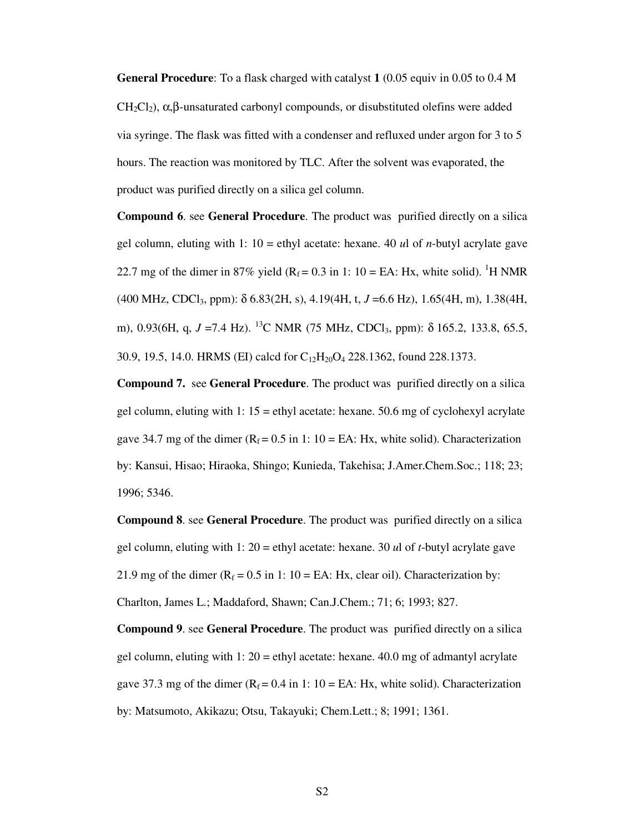**General Procedure**: To a flask charged with catalyst **1** (0.05 equiv in 0.05 to 0.4 M CH<sub>2</sub>Cl<sub>2</sub>),  $\alpha, \beta$ -unsaturated carbonyl compounds, or disubstituted olefins were added via syringe. The flask was fitted with a condenser and refluxed under argon for 3 to 5 hours. The reaction was monitored by TLC. After the solvent was evaporated, the product was purified directly on a silica gel column.

**Compound 6**. see **General Procedure**. The product was purified directly on a silica gel column, eluting with 1: 10 = ethyl acetate: hexane. 40 *u*l of *n*-butyl acrylate gave 22.7 mg of the dimer in 87% yield ( $R_f = 0.3$  in 1: 10 = EA: Hx, white solid). <sup>1</sup>H NMR (400 MHz, CDCl3, ppm): δ 6.83(2H, s), 4.19(4H, t, *J* =6.6 Hz), 1.65(4H, m), 1.38(4H, m), 0.93(6H, q, *J* =7.4 Hz). <sup>13</sup>C NMR (75 MHz, CDCl<sub>3</sub>, ppm): δ 165.2, 133.8, 65.5, 30.9, 19.5, 14.0. HRMS (EI) calcd for C12H20O4 228.1362, found 228.1373.

**Compound 7.** see **General Procedure**. The product was purified directly on a silica gel column, eluting with 1:  $15 =$  ethyl acetate: hexane. 50.6 mg of cyclohexyl acrylate gave 34.7 mg of the dimer ( $R_f = 0.5$  in 1: 10 = EA: Hx, white solid). Characterization by: Kansui, Hisao; Hiraoka, Shingo; Kunieda, Takehisa; J.Amer.Chem.Soc.; 118; 23; 1996; 5346.

**Compound 8**. see **General Procedure**. The product was purified directly on a silica gel column, eluting with 1: 20 = ethyl acetate: hexane. 30 *u*l of *t*-butyl acrylate gave 21.9 mg of the dimer ( $R_f = 0.5$  in 1: 10 = EA: Hx, clear oil). Characterization by: Charlton, James L.; Maddaford, Shawn; Can.J.Chem.; 71; 6; 1993; 827.

**Compound 9**. see **General Procedure**. The product was purified directly on a silica gel column, eluting with 1:  $20 = \text{ethyl acetate: hexane. } 40.0 \text{ mg of admantly}$  acrylate gave 37.3 mg of the dimer ( $R_f = 0.4$  in 1: 10 = EA: Hx, white solid). Characterization by: Matsumoto, Akikazu; Otsu, Takayuki; Chem.Lett.; 8; 1991; 1361.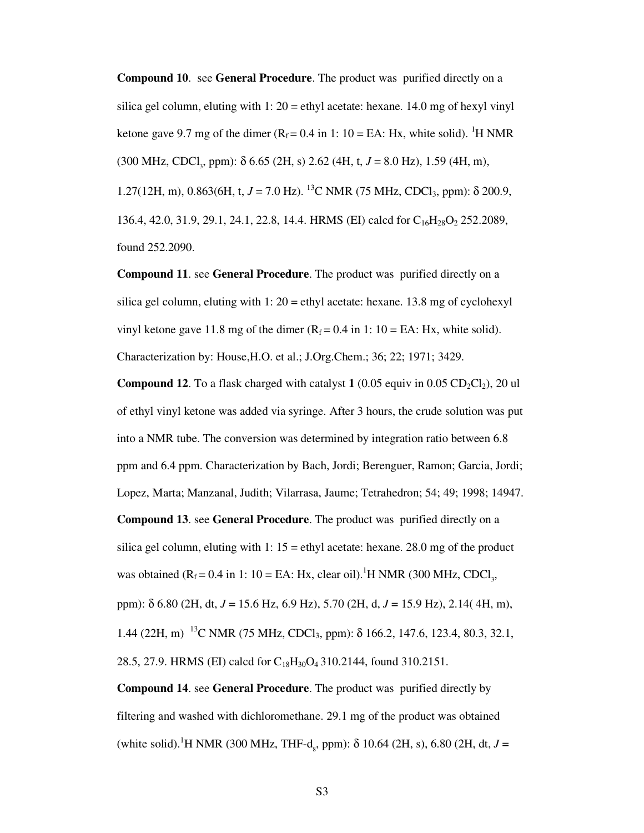**Compound 10**. see **General Procedure**. The product was purified directly on a silica gel column, eluting with  $1: 20 =$ ethyl acetate: hexane. 14.0 mg of hexyl vinyl ketone gave 9.7 mg of the dimer  $(R_f = 0.4 \text{ in } 1: 10 = \text{EA: Hx}$ , white solid). <sup>1</sup>H NMR (300 MHz, CDCl<sub>3</sub>, ppm): δ 6.65 (2H, s) 2.62 (4H, t, *J* = 8.0 Hz), 1.59 (4H, m), 1.27(12H, m), 0.863(6H, t,  $J = 7.0$  Hz). <sup>13</sup>C NMR (75 MHz, CDCl<sub>3</sub>, ppm):  $\delta$  200.9, 136.4, 42.0, 31.9, 29.1, 24.1, 22.8, 14.4. HRMS (EI) calcd for C<sub>16</sub>H<sub>28</sub>O<sub>2</sub> 252.2089, found 252.2090.

**Compound 11**. see **General Procedure**. The product was purified directly on a silica gel column, eluting with  $1: 20 =$ ethyl acetate: hexane. 13.8 mg of cyclohexyl vinyl ketone gave 11.8 mg of the dimer ( $R_f = 0.4$  in 1: 10 = EA: Hx, white solid). Characterization by: House,H.O. et al.; J.Org.Chem.; 36; 22; 1971; 3429.

**Compound 12.** To a flask charged with catalyst  $1$  (0.05 equiv in 0.05 CD<sub>2</sub>Cl<sub>2</sub>), 20 ul of ethyl vinyl ketone was added via syringe. After 3 hours, the crude solution was put into a NMR tube. The conversion was determined by integration ratio between 6.8 ppm and 6.4 ppm. Characterization by Bach, Jordi; Berenguer, Ramon; Garcia, Jordi; Lopez, Marta; Manzanal, Judith; Vilarrasa, Jaume; Tetrahedron; 54; 49; 1998; 14947. **Compound 13**. see **General Procedure**. The product was purified directly on a silica gel column, eluting with  $1: 15 =$ ethyl acetate: hexane. 28.0 mg of the product was obtained ( $R_f = 0.4$  in 1: 10 = EA: Hx, clear oil).<sup>1</sup>H NMR (300 MHz, CDCl<sub>3</sub>, ppm): δ 6.80 (2H, dt, *J* = 15.6 Hz, 6.9 Hz), 5.70 (2H, d, *J* = 15.9 Hz), 2.14( 4H, m), 1.44 (22H, m)<sup>13</sup>C NMR (75 MHz, CDCl<sub>3</sub>, ppm): δ 166.2, 147.6, 123.4, 80.3, 32.1,

28.5, 27.9. HRMS (EI) calcd for  $C_{18}H_{30}O_4$  310.2144, found 310.2151.

**Compound 14**. see **General Procedure**. The product was purified directly by filtering and washed with dichloromethane. 29.1 mg of the product was obtained (white solid).<sup>1</sup>H NMR (300 MHz, THF-d<sub>8</sub>, ppm):  $\delta$  10.64 (2H, s), 6.80 (2H, dt, *J* =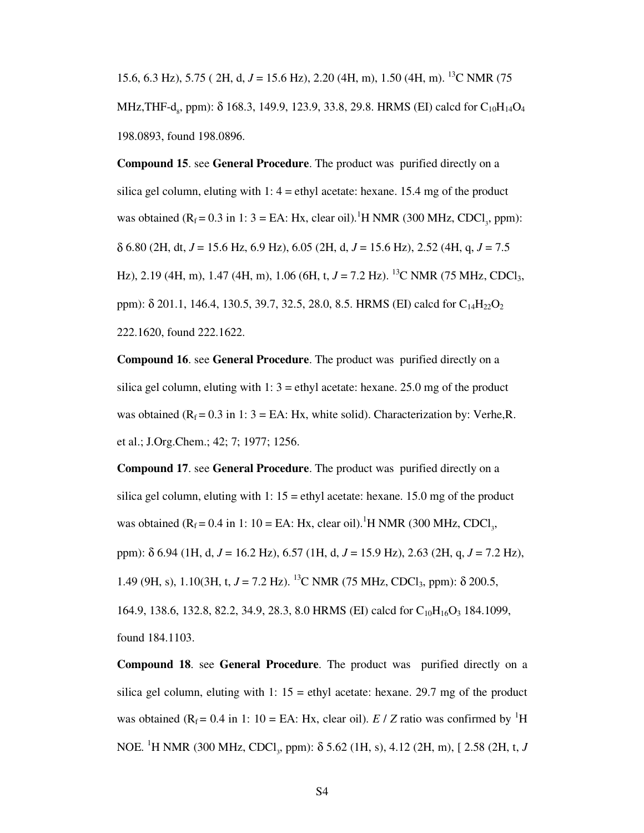15.6, 6.3 Hz), 5.75 ( 2H, d, *J* = 15.6 Hz), 2.20 (4H, m), 1.50 (4H, m). 13C NMR (75 MHz,THF-d<sub>8</sub>, ppm): δ 168.3, 149.9, 123.9, 33.8, 29.8. HRMS (EI) calcd for  $C_{10}H_{14}O_4$ 198.0893, found 198.0896.

**Compound 15**. see **General Procedure**. The product was purified directly on a silica gel column, eluting with  $1: 4 =$  ethyl acetate: hexane. 15.4 mg of the product was obtained  $(R_f = 0.3$  in 1: 3 = EA: Hx, clear oil).<sup>1</sup>H NMR (300 MHz, CDCl<sub>3</sub>, ppm): δ 6.80 (2H, dt, *J* = 15.6 Hz, 6.9 Hz), 6.05 (2H, d, *J* = 15.6 Hz), 2.52 (4H, q, *J* = 7.5 Hz), 2.19 (4H, m), 1.47 (4H, m), 1.06 (6H, t,  $J = 7.2$  Hz). <sup>13</sup>C NMR (75 MHz, CDCl<sub>3</sub>, ppm):  $\delta$  201.1, 146.4, 130.5, 39.7, 32.5, 28.0, 8.5. HRMS (EI) calcd for C<sub>14</sub>H<sub>22</sub>O<sub>2</sub> 222.1620, found 222.1622.

**Compound 16**. see **General Procedure**. The product was purified directly on a silica gel column, eluting with  $1: 3 =$  ethyl acetate: hexane. 25.0 mg of the product was obtained ( $R_f = 0.3$  in 1: 3 = EA: Hx, white solid). Characterization by: Verhe, R. et al.; J.Org.Chem.; 42; 7; 1977; 1256.

**Compound 17**. see **General Procedure**. The product was purified directly on a silica gel column, eluting with  $1: 15 =$ ethyl acetate: hexane. 15.0 mg of the product was obtained ( $R_f = 0.4$  in 1: 10 = EA: Hx, clear oil).<sup>1</sup>H NMR (300 MHz, CDCl<sub>3</sub>, ppm): δ 6.94 (1H, d, *J* = 16.2 Hz), 6.57 (1H, d, *J* = 15.9 Hz), 2.63 (2H, q, *J* = 7.2 Hz), 1.49 (9H, s), 1.10(3H, t,  $J = 7.2$  Hz). <sup>13</sup>C NMR (75 MHz, CDCl<sub>3</sub>, ppm): δ 200.5, 164.9, 138.6, 132.8, 82.2, 34.9, 28.3, 8.0 HRMS (EI) calcd for C<sub>10</sub>H<sub>16</sub>O<sub>3</sub> 184.1099, found 184.1103.

**Compound 18**. see **General Procedure**. The product was purified directly on a silica gel column, eluting with 1:  $15 =$  ethyl acetate: hexane. 29.7 mg of the product was obtained ( $R_f = 0.4$  in 1: 10 = EA: Hx, clear oil). *E* / *Z* ratio was confirmed by <sup>1</sup>H NOE. <sup>1</sup>H NMR (300 MHz, CDCl<sub>3</sub>, ppm): δ 5.62 (1H, s), 4.12 (2H, m), [ 2.58 (2H, t, *J*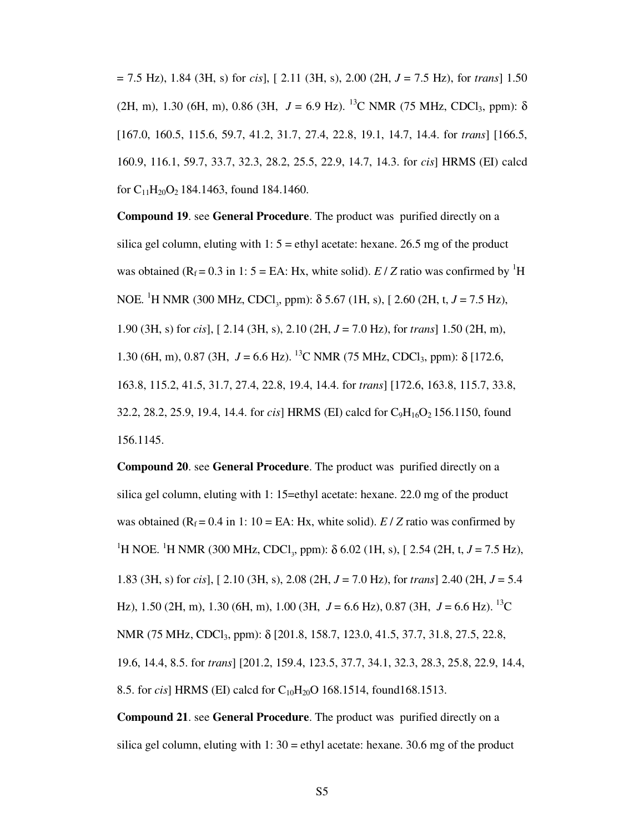= 7.5 Hz), 1.84 (3H, s) for *cis*], [ 2.11 (3H, s), 2.00 (2H, *J* = 7.5 Hz), for *trans*] 1.50 (2H, m), 1.30 (6H, m), 0.86 (3H,  $J = 6.9$  Hz). <sup>13</sup>C NMR (75 MHz, CDCl<sub>3</sub>, ppm):  $\delta$ [167.0, 160.5, 115.6, 59.7, 41.2, 31.7, 27.4, 22.8, 19.1, 14.7, 14.4. for *trans*] [166.5, 160.9, 116.1, 59.7, 33.7, 32.3, 28.2, 25.5, 22.9, 14.7, 14.3. for *cis*] HRMS (EI) calcd for  $C_{11}H_{20}O_2$  184.1463, found 184.1460.

**Compound 19**. see **General Procedure**. The product was purified directly on a silica gel column, eluting with  $1: 5 =$ ethyl acetate: hexane. 26.5 mg of the product was obtained ( $R_f = 0.3$  in 1: 5 = EA: Hx, white solid). *E* / *Z* ratio was confirmed by <sup>1</sup>H NOE. <sup>1</sup>H NMR (300 MHz, CDCl<sub>3</sub>, ppm): δ 5.67 (1H, s), [ 2.60 (2H, t, *J* = 7.5 Hz), 1.90 (3H, s) for *cis*], [ 2.14 (3H, s), 2.10 (2H, *J* = 7.0 Hz), for *trans*] 1.50 (2H, m), 1.30 (6H, m), 0.87 (3H,  $J = 6.6$  Hz). <sup>13</sup>C NMR (75 MHz, CDCl<sub>3</sub>, ppm):  $\delta$  [172.6, 163.8, 115.2, 41.5, 31.7, 27.4, 22.8, 19.4, 14.4. for *trans*] [172.6, 163.8, 115.7, 33.8, 32.2, 28.2, 25.9, 19.4, 14.4. for *cis*] HRMS (EI) calcd for C<sub>9</sub>H<sub>16</sub>O<sub>2</sub> 156.1150, found 156.1145.

**Compound 20**. see **General Procedure**. The product was purified directly on a silica gel column, eluting with 1: 15=ethyl acetate: hexane. 22.0 mg of the product was obtained ( $R_f = 0.4$  in 1: 10 = EA: Hx, white solid). *E* / *Z* ratio was confirmed by <sup>1</sup>H NOE.<sup>1</sup>H NMR (300 MHz, CDCl<sub>3</sub>, ppm):  $\delta$  6.02 (1H, s), [2.54 (2H, t, *J* = 7.5 Hz), 1.83 (3H, s) for *cis*], [ 2.10 (3H, s), 2.08 (2H, *J* = 7.0 Hz), for *trans*] 2.40 (2H, *J* = 5.4 Hz), 1.50 (2H, m), 1.30 (6H, m), 1.00 (3H, *J* = 6.6 Hz), 0.87 (3H, *J* = 6.6 Hz). 13C NMR (75 MHz, CDCl3, ppm): δ [201.8, 158.7, 123.0, 41.5, 37.7, 31.8, 27.5, 22.8, 19.6, 14.4, 8.5. for *trans*] [201.2, 159.4, 123.5, 37.7, 34.1, 32.3, 28.3, 25.8, 22.9, 14.4, 8.5. for *cis*] HRMS (EI) calcd for C<sub>10</sub>H<sub>20</sub>O 168.1514, found168.1513.

**Compound 21**. see **General Procedure**. The product was purified directly on a silica gel column, eluting with  $1: 30 =$ ethyl acetate: hexane. 30.6 mg of the product